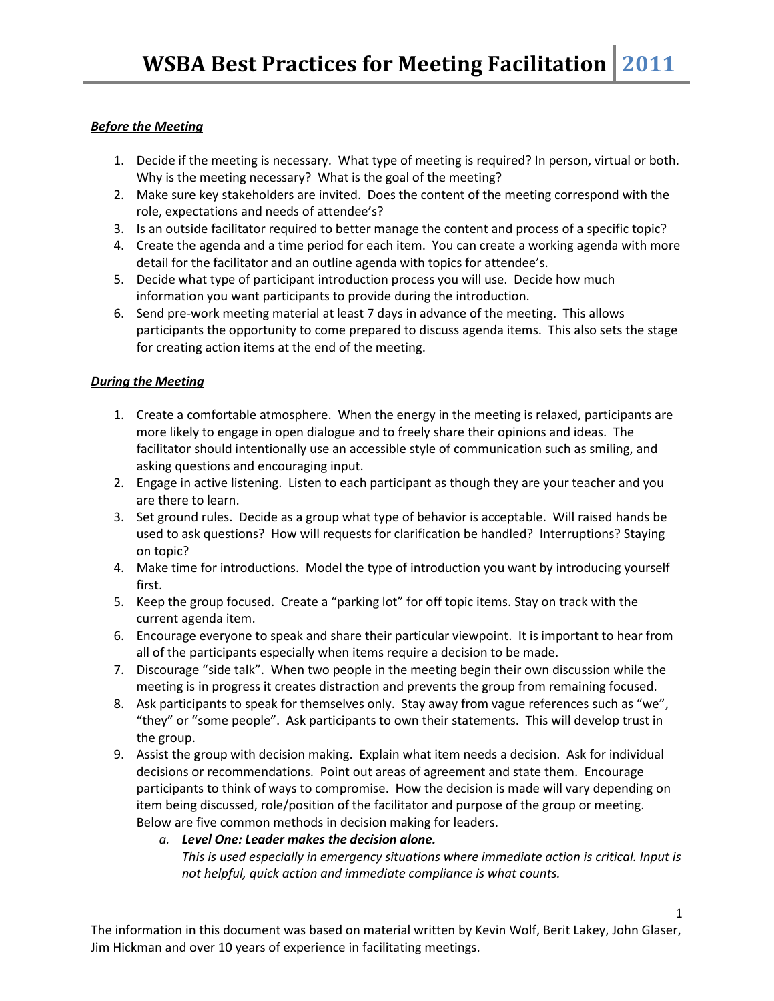## *Before the Meeting*

- 1. Decide if the meeting is necessary. What type of meeting is required? In person, virtual or both. Why is the meeting necessary? What is the goal of the meeting?
- 2. Make sure key stakeholders are invited. Does the content of the meeting correspond with the role, expectations and needs of attendee's?
- 3. Is an outside facilitator required to better manage the content and process of a specific topic?
- 4. Create the agenda and a time period for each item. You can create a working agenda with more detail for the facilitator and an outline agenda with topics for attendee's.
- 5. Decide what type of participant introduction process you will use. Decide how much information you want participants to provide during the introduction.
- 6. Send pre-work meeting material at least 7 days in advance of the meeting. This allows participants the opportunity to come prepared to discuss agenda items. This also sets the stage for creating action items at the end of the meeting.

## *During the Meeting*

- 1. Create a comfortable atmosphere. When the energy in the meeting is relaxed, participants are more likely to engage in open dialogue and to freely share their opinions and ideas. The facilitator should intentionally use an accessible style of communication such as smiling, and asking questions and encouraging input.
- 2. Engage in active listening. Listen to each participant as though they are your teacher and you are there to learn.
- 3. Set ground rules. Decide as a group what type of behavior is acceptable. Will raised hands be used to ask questions? How will requests for clarification be handled? Interruptions? Staying on topic?
- 4. Make time for introductions. Model the type of introduction you want by introducing yourself first.
- 5. Keep the group focused. Create a "parking lot" for off topic items. Stay on track with the current agenda item.
- 6. Encourage everyone to speak and share their particular viewpoint. It is important to hear from all of the participants especially when items require a decision to be made.
- 7. Discourage "side talk". When two people in the meeting begin their own discussion while the meeting is in progress it creates distraction and prevents the group from remaining focused.
- 8. Ask participants to speak for themselves only. Stay away from vague references such as "we", "they" or "some people". Ask participants to own their statements. This will develop trust in the group.
- 9. Assist the group with decision making. Explain what item needs a decision. Ask for individual decisions or recommendations. Point out areas of agreement and state them. Encourage participants to think of ways to compromise. How the decision is made will vary depending on item being discussed, role/position of the facilitator and purpose of the group or meeting. Below are five common methods in decision making for leaders.
	- *a. Level One: Leader makes the decision alone. This is used especially in emergency situations where immediate action is critical. Input is not helpful, quick action and immediate compliance is what counts.*

1

The information in this document was based on material written by Kevin Wolf, Berit Lakey, John Glaser, Jim Hickman and over 10 years of experience in facilitating meetings.